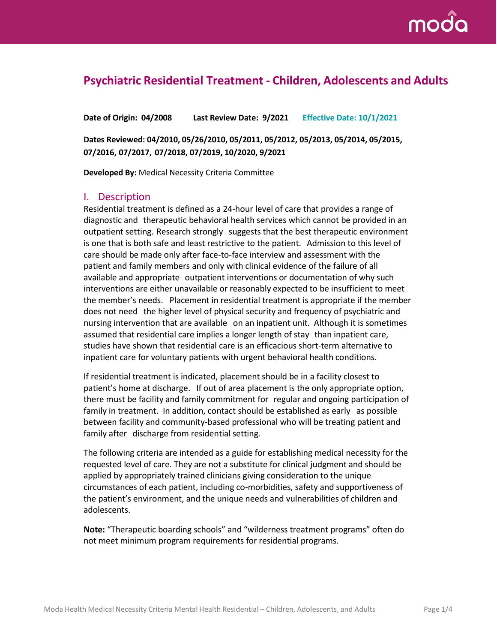

# **Psychiatric Residential Treatment - Children, Adolescents and Adults**

**Date of Origin: 04/2008 Last Review Date: 9/2021 Effective Date: 10/1/2021**

**Dates Reviewed: 04/2010, 05/26/2010, 05/2011, 05/2012, 05/2013, 05/2014, 05/2015, 07/2016, 07/2017, 07/2018, 07/2019, 10/2020, 9/2021**

**Developed By:** Medical Necessity Criteria Committee

### I. Description

Residential treatment is defined as a 24-hour level of care that provides a range of diagnostic and therapeutic behavioral health services which cannot be provided in an outpatient setting. Research strongly suggests that the best therapeutic environment is one that is both safe and least restrictive to the patient. Admission to this level of care should be made only after face-to-face interview and assessment with the patient and family members and only with clinical evidence of the failure of all available and appropriate outpatient interventions or documentation of why such interventions are either unavailable or reasonably expected to be insufficient to meet the member's needs. Placement in residential treatment is appropriate if the member does not need the higher level of physical security and frequency of psychiatric and nursing intervention that are available on an inpatient unit. Although it is sometimes assumed that residential care implies a longer length of stay than inpatient care, studies have shown that residential care is an efficacious short-term alternative to inpatient care for voluntary patients with urgent behavioral health conditions.

If residential treatment is indicated, placementshould be in a facility closest to patient's home at discharge. If out of area placement is the only appropriate option, there must be facility and family commitment for regular and ongoing participation of family in treatment. In addition, contact should be established as early as possible between facility and community-based professional who will be treating patient and family after discharge from residential setting.

The following criteria are intended as a guide for establishing medical necessity for the requested level of care. They are not a substitute for clinical judgment and should be applied by appropriately trained clinicians giving consideration to the unique circumstances of each patient, including co-morbidities, safety and supportiveness of the patient's environment, and the unique needs and vulnerabilities of children and adolescents.

**Note:** "Therapeutic boarding schools" and "wilderness treatment programs" often do not meet minimum program requirements for residential programs.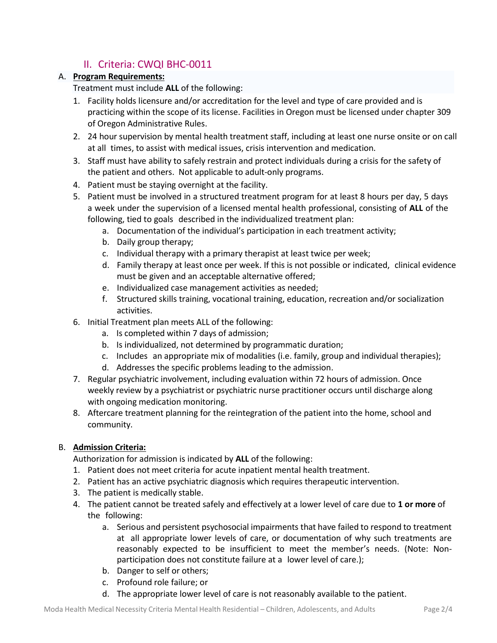# II. Criteria: CWQI BHC-0011

#### A. **Program Requirements:**

Treatment must include **ALL** of the following:

- 1. Facility holds licensure and/or accreditation for the level and type of care provided and is practicing within the scope of its license. Facilities in Oregon must be licensed under chapter 309 of Oregon Administrative Rules.
- 2. 24 hour supervision by mental health treatment staff, including at least one nurse onsite or on call at all times, to assist with medical issues, crisis intervention and medication.
- 3. Staff must have ability to safely restrain and protect individuals during a crisis for the safety of the patient and others. Not applicable to adult-only programs.
- 4. Patient must be staying overnight at the facility.
- 5. Patient must be involved in a structured treatment program for at least 8 hours per day, 5 days a week under the supervision of a licensed mental health professional, consisting of **ALL** of the following, tied to goals described in the individualized treatment plan:
	- a. Documentation of the individual's participation in each treatment activity;
	- b. Daily group therapy;
	- c. Individual therapy with a primary therapist at least twice per week;
	- d. Family therapy at least once per week. If this is not possible or indicated, clinical evidence must be given and an acceptable alternative offered;
	- e. Individualized case management activities as needed;
	- f. Structured skills training, vocational training, education, recreation and/or socialization activities.
- 6. Initial Treatment plan meets ALL of the following:
	- a. Is completed within 7 days of admission;
	- b. Is individualized, not determined by programmatic duration;
	- c. Includes an appropriate mix of modalities (i.e. family, group and individual therapies);
	- d. Addresses the specific problems leading to the admission.
- 7. Regular psychiatric involvement, including evaluation within 72 hours of admission. Once weekly review by a psychiatrist or psychiatric nurse practitioner occurs until discharge along with ongoing medication monitoring.
- 8. Aftercare treatment planning for the reintegration of the patient into the home, school and community.

#### B. **Admission Criteria:**

Authorization for admission is indicated by **ALL** of the following:

- 1. Patient does not meet criteria for acute inpatient mental health treatment.
- 2. Patient has an active psychiatric diagnosis which requires therapeutic intervention.
- 3. The patient is medically stable.
- 4. The patient cannot be treated safely and effectively at a lower level of care due to **1 or more** of the following:
	- a. Serious and persistent psychosocial impairments that have failed to respond to treatment at all appropriate lower levels of care, or documentation of why such treatments are reasonably expected to be insufficient to meet the member's needs. (Note: Nonparticipation does not constitute failure at a lower level of care.);
	- b. Danger to self or others;
	- c. Profound role failure; or
	- d. The appropriate lower level of care is not reasonably available to the patient.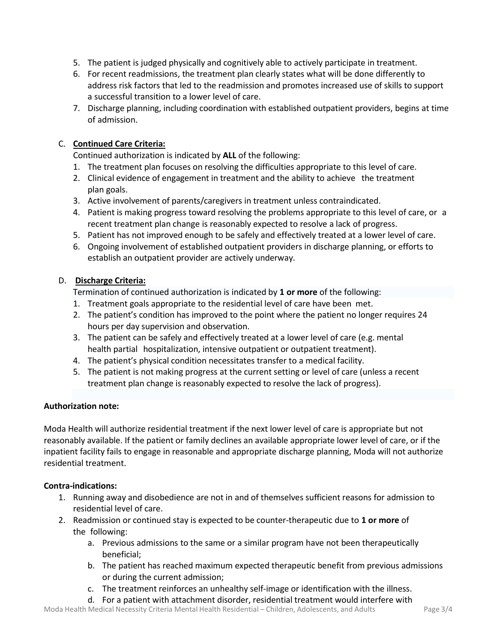- 5. The patient is judged physically and cognitively able to actively participate in treatment.
- 6. For recent readmissions, the treatment plan clearly states what will be done differently to address risk factors that led to the readmission and promotes increased use of skills to support a successful transition to a lower level of care.
- 7. Discharge planning, including coordination with established outpatient providers, begins at time of admission.

#### C. **Continued Care Criteria:**

Continued authorization is indicated by **ALL** of the following:

- 1. The treatment plan focuses on resolving the difficulties appropriate to this level of care.
- 2. Clinical evidence of engagement in treatment and the ability to achieve the treatment plan goals.
- 3. Active involvement of parents/caregivers in treatment unless contraindicated.
- 4. Patient is making progress toward resolving the problems appropriate to this level of care, or a recent treatment plan change is reasonably expected to resolve a lack of progress.
- 5. Patient has not improved enough to be safely and effectively treated at a lower level of care.
- 6. Ongoing involvement of established outpatient providers in discharge planning, or efforts to establish an outpatient provider are actively underway.

#### D. **Discharge Criteria:**

Termination of continued authorization is indicated by **1 or more** of the following:

- 1. Treatment goals appropriate to the residential level of care have been met.
- 2. The patient's condition has improved to the point where the patient no longer requires 24 hours per day supervision and observation.
- 3. The patient can be safely and effectively treated at a lower level of care (e.g. mental health partial hospitalization, intensive outpatient or outpatient treatment).
- 4. The patient's physical condition necessitates transfer to a medical facility.
- 5. The patient is not making progress at the current setting or level of care (unless a recent treatment plan change is reasonably expected to resolve the lack of progress).

### **Authorization note:**

Moda Health will authorize residential treatment if the next lower level of care is appropriate but not reasonably available. If the patient or family declines an available appropriate lower level of care, or if the inpatient facility fails to engage in reasonable and appropriate discharge planning, Moda will not authorize residential treatment.

#### **Contra-indications:**

- 1. Running away and disobedience are not in and of themselves sufficient reasons for admission to residential level of care.
- 2. Readmission or continued stay is expected to be counter-therapeutic due to **1 or more** of the following:
	- a. Previous admissions to the same or a similar program have not been therapeutically beneficial;
	- b. The patient has reached maximum expected therapeutic benefit from previous admissions or during the current admission;
	- c. The treatment reinforces an unhealthy self-image or identification with the illness.
	- d. For a patient with attachment disorder, residential treatment would interfere with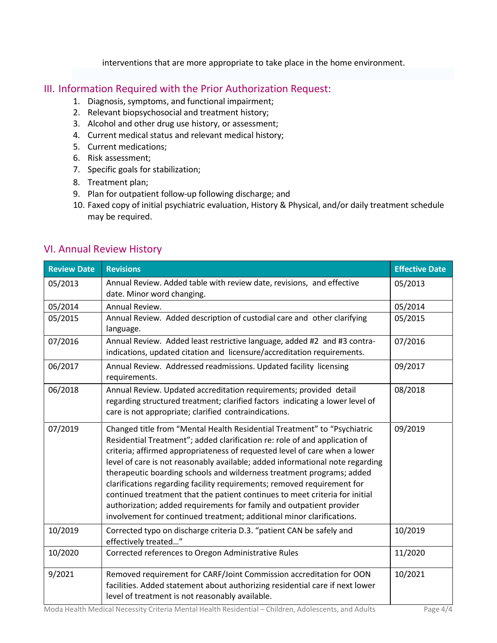interventions that are more appropriate to take place in the home environment.

## III. Information Required with the Prior Authorization Request:

- 1. Diagnosis, symptoms, and functional impairment;
- 2. Relevant biopsychosocial and treatment history;
- 3. Alcohol and other drug use history, or assessment;
- 4. Current medical status and relevant medical history;
- 5. Current medications;
- 6. Risk assessment;
- 7. Specific goals for stabilization;
- 8. Treatment plan;
- 9. Plan for outpatient follow-up following discharge; and
- 10. Faxed copy of initial psychiatric evaluation, History & Physical, and/or daily treatment schedule may be required.

## VI. Annual Review History

| <b>Review Date</b> | <b>Revisions</b>                                                                                                                                                                                                                                                                                                                                                                                                                                                                                                                                                                                                                                                                                          | <b>Effective Date</b> |
|--------------------|-----------------------------------------------------------------------------------------------------------------------------------------------------------------------------------------------------------------------------------------------------------------------------------------------------------------------------------------------------------------------------------------------------------------------------------------------------------------------------------------------------------------------------------------------------------------------------------------------------------------------------------------------------------------------------------------------------------|-----------------------|
| 05/2013            | Annual Review. Added table with review date, revisions, and effective<br>date. Minor word changing.                                                                                                                                                                                                                                                                                                                                                                                                                                                                                                                                                                                                       | 05/2013               |
| 05/2014            | Annual Review.                                                                                                                                                                                                                                                                                                                                                                                                                                                                                                                                                                                                                                                                                            | 05/2014               |
| 05/2015            | Annual Review. Added description of custodial care and other clarifying<br>language.                                                                                                                                                                                                                                                                                                                                                                                                                                                                                                                                                                                                                      | 05/2015               |
| 07/2016            | Annual Review. Added least restrictive language, added #2 and #3 contra-<br>indications, updated citation and licensure/accreditation requirements.                                                                                                                                                                                                                                                                                                                                                                                                                                                                                                                                                       | 07/2016               |
| 06/2017            | Annual Review. Addressed readmissions. Updated facility licensing<br>requirements.                                                                                                                                                                                                                                                                                                                                                                                                                                                                                                                                                                                                                        | 09/2017               |
| 06/2018            | Annual Review. Updated accreditation requirements; provided detail<br>regarding structured treatment; clarified factors indicating a lower level of<br>care is not appropriate; clarified contraindications.                                                                                                                                                                                                                                                                                                                                                                                                                                                                                              | 08/2018               |
| 07/2019            | Changed title from "Mental Health Residential Treatment" to "Psychiatric<br>Residential Treatment"; added clarification re: role of and application of<br>criteria; affirmed appropriateness of requested level of care when a lower<br>level of care is not reasonably available; added informational note regarding<br>therapeutic boarding schools and wilderness treatment programs; added<br>clarifications regarding facility requirements; removed requirement for<br>continued treatment that the patient continues to meet criteria for initial<br>authorization; added requirements for family and outpatient provider<br>involvement for continued treatment; additional minor clarifications. | 09/2019               |
| 10/2019            | Corrected typo on discharge criteria D.3. "patient CAN be safely and<br>effectively treated"                                                                                                                                                                                                                                                                                                                                                                                                                                                                                                                                                                                                              | 10/2019               |
| 10/2020            | Corrected references to Oregon Administrative Rules                                                                                                                                                                                                                                                                                                                                                                                                                                                                                                                                                                                                                                                       | 11/2020               |
| 9/2021             | Removed requirement for CARF/Joint Commission accreditation for OON<br>facilities. Added statement about authorizing residential care if next lower<br>level of treatment is not reasonably available.                                                                                                                                                                                                                                                                                                                                                                                                                                                                                                    | 10/2021               |